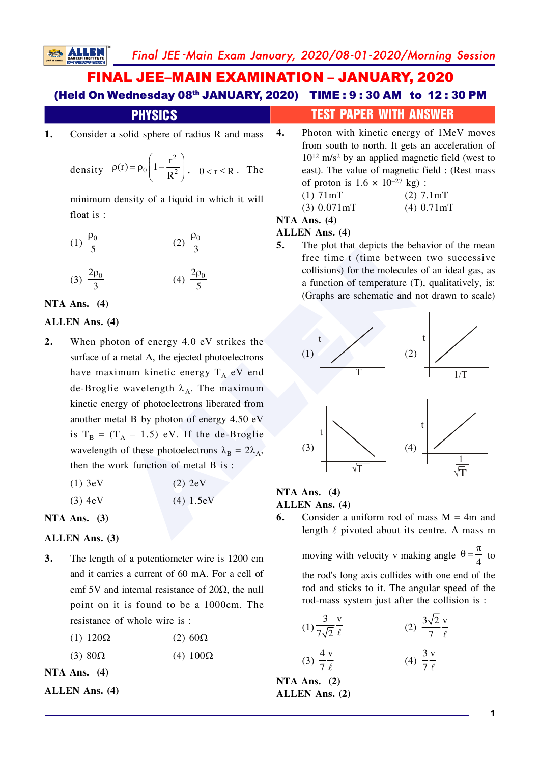## **FINAL JEE-MAIN EXAMINATION - JANUARY, 2020** (Held On Wednesday 08th JANUARY, 2020) TIME: 9:30 AM to 12:30 PM

#### **PHYSICS** 4. Consider a solid sphere of radius R and mass

density 
$$
\rho(r) = \rho_0 \left( 1 - \frac{r^2}{R^2} \right)
$$
,  $0 < r \le R$ . The

minimum density of a liquid in which it will float is:

(1) 
$$
\frac{\rho_0}{5}
$$
 (2)  $\frac{\rho_0}{3}$ 

$$
(3) \frac{2\rho_0}{3} \qquad \qquad (4) \frac{2\rho_0}{5}
$$

#### NTA Ans.  $(4)$

1.

#### **ALLEN** Ans. (4)

 $2.$ When photon of energy 4.0 eV strikes the surface of a metal A, the ejected photoelectrons have maximum kinetic energy  $T_A$  eV end de-Broglie wavelength  $\lambda_A$ . The maximum kinetic energy of photoelectrons liberated from another metal B by photon of energy 4.50 eV is  $T_B = (T_A - 1.5)$  eV. If the de-Broglie wavelength of these photoelectrons  $\lambda_B = 2\lambda_A$ , then the work function of metal B is:

| (1) 3eV | $(2)$ 2eV |
|---------|-----------|
| (3) 4eV | (4) 1.5eV |

#### NTA Ans.  $(3)$

#### **ALLEN** Ans. (3)

 $3.$ The length of a potentiometer wire is 1200 cm and it carries a current of 60 mA. For a cell of emf 5V and internal resistance of  $20\Omega$ , the null point on it is found to be a 1000cm. The resistance of whole wire is:

 $(3)$  80 $\Omega$  $(4)$  100 $\Omega$ 

NTA Ans.  $(4)$ 

## **TEST PAPER WITH ANSWER**

Photon with kinetic energy of 1MeV moves from south to north. It gets an acceleration of  $10^{12}$  m/s<sup>2</sup> by an applied magnetic field (west to east). The value of magnetic field : (Rest mass of proton is  $1.6 \times 10^{-27}$  kg):

$$
(1) 71 mT (2) 7.1 mT \n(3) 0.071 mT (4) 0.71 m'
$$

$$
0.071 \,\text{mT} \tag{4} \, 0.71 \,\text{mT}
$$

### NTA Ans.  $(4)$

## **ALLEN Ans. (4)**

5. The plot that depicts the behavior of the mean free time t (time between two successive collisions) for the molecules of an ideal gas, as a function of temperature (T), qualitatively, is: (Graphs are schematic and not drawn to scale)



#### NTA Ans.  $(4)$

#### **ALLEN Ans. (4)**

Consider a uniform rod of mass  $M = 4m$  and 6. length  $\ell$  pivoted about its centre. A mass m

moving with velocity v making angle  $\theta = \frac{\pi}{4}$  to

the rod's long axis collides with one end of the rod and sticks to it. The angular speed of the rod-mass system just after the collision is:

$$
(1) \frac{3}{7\sqrt{2}} \frac{v}{\ell}
$$
\n
$$
(2) \frac{3\sqrt{2}}{7} \frac{v}{\ell}
$$
\n
$$
(3) \frac{4}{7} \frac{v}{\ell}
$$
\n
$$
(4) \frac{3}{7} \frac{v}{\ell}
$$
\n
$$
(4) \frac{3}{7} \frac{v}{\ell}
$$

NTA Ans.  $(2)$ **ALLEN** Ans. (2)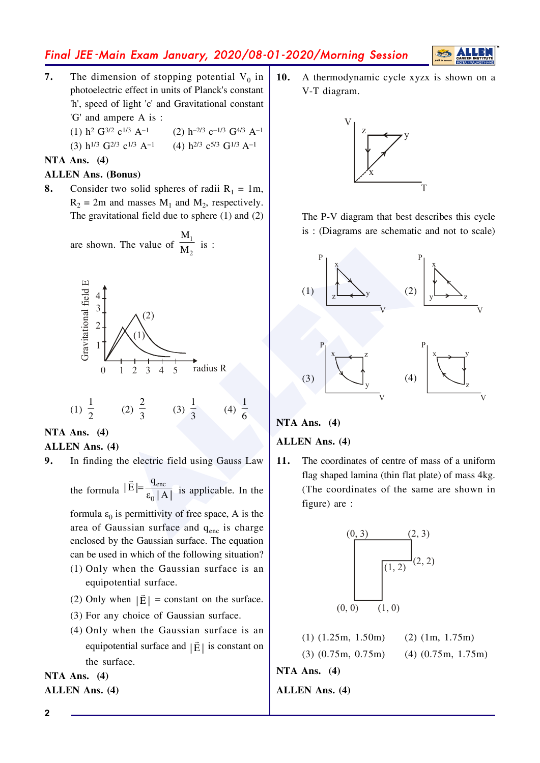

- $\overline{7}$ . The dimension of stopping potential  $V_0$  in photoelectric effect in units of Planck's constant 'h', speed of light 'c' and Gravitational constant 'G' and ampere A is:
	- (2)  $h^{-2/3}$   $c^{-1/3}$   $G^{4/3}$   $A^{-1}$ (1)  $h^2$  G<sup>3/2</sup> c<sup>1/3</sup> A<sup>-1</sup>

(3) 
$$
h^{1/3} G^{2/3} c^{1/3} A^{-1}
$$
 (4)  $h^{2/3} c^{5/3} G^{1/3} A^{-1}$ 

#### NTA Ans.  $(4)$

#### **ALLEN Ans. (Bonus)**

8. Consider two solid spheres of radii  $R_1 = 1m$ ,  $R_2 = 2m$  and masses  $M_1$  and  $M_2$ , respectively. The gravitational field due to sphere  $(1)$  and  $(2)$ 

are shown. The value of 
$$
\frac{M_1}{M_2}
$$
 is :



(2)  $\frac{2}{3}$  (3)  $\frac{1}{3}$ (1)  $\frac{1}{2}$ (4)  $\frac{1}{6}$ 

NTA Ans.  $(4)$ 

#### **ALLEN Ans. (4)**

9. In finding the electric field using Gauss Law

the formula  $|\vec{E}| = \frac{q_{\text{enc}}}{\epsilon_0 |A|}$  is applicable. In the

formula  $\varepsilon_0$  is permittivity of free space, A is the area of Gaussian surface and q<sub>enc</sub> is charge enclosed by the Gaussian surface. The equation can be used in which of the following situation? (1) Only when the Gaussian surface is an equipotential surface.

- (2) Only when  $|\vec{F}|$  = constant on the surface.
- (3) For any choice of Gaussian surface.
- (4) Only when the Gaussian surface is an equipotential surface and  $|\vec{E}|$  is constant on the surface.

NTA Ans.  $(4)$ **ALLEN Ans. (4)**   $10.$ A thermodynamic cycle xyzx is shown on a V-T diagram.



The P-V diagram that best describes this cycle is: (Diagrams are schematic and not to scale)



### NTA Ans.  $(4)$

#### **ALLEN Ans. (4)**

The coordinates of centre of mass of a uniform 11. flag shaped lamina (thin flat plate) of mass 4kg. (The coordinates of the same are shown in figure) are :



 $(1)$   $(1.25m, 1.50m)$  $(2)$  (1m, 1.75m)  $(3)$   $(0.75m, 0.75m)$  $(4)$   $(0.75m, 1.75m)$ 

NTA Ans.  $(4)$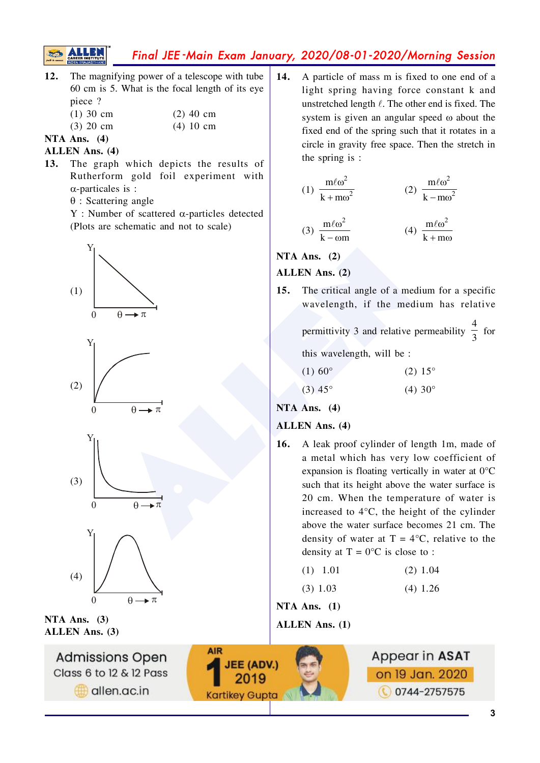

- The magnifying power of a telescope with tube  $12.$ 60 cm is 5. What is the focal length of its eve piece?
	- $(1)$  30 cm  $(2)$  40 cm  $(3)$  20 cm  $(4)$  10 cm
- NTA Ans.  $(4)$

#### **ALLEN** Ans. (4)

- The graph which depicts the results of  $13.$ Rutherform gold foil experiment with  $\alpha$ -particales is :
	- $\theta$ : Scattering angle
	- $Y:$  Number of scattered  $\alpha$ -particles detected (Plots are schematic and not to scale)







NTA Ans.  $(3)$ **ALLEN Ans. (3)** 



 $14.$ A particle of mass m is fixed to one end of a light spring having force constant k and unstretched length  $\ell$ . The other end is fixed. The system is given an angular speed  $\omega$  about the fixed end of the spring such that it rotates in a circle in gravity free space. Then the stretch in the spring is :

(1) 
$$
\frac{m\ell\omega^2}{k + m\omega^2}
$$
  
(2) 
$$
\frac{m\ell\omega^2}{k - m\omega^2}
$$
  
(3) 
$$
\frac{m\ell\omega^2}{k - \omega m}
$$
  
(4) 
$$
\frac{m\ell\omega^2}{k + m\omega}
$$

## NTA Ans.  $(2)$

#### ALLEN Ans. (2)

 $15.$ The critical angle of a medium for a specific wavelength, if the medium has relative

permittivity 3 and relative permeability  $\frac{4}{3}$  for

this wavelength, will be:

| $(1) 60^{\circ}$      | $(2) 15^{\circ}$      |
|-----------------------|-----------------------|
| $(3)$ 45 <sup>°</sup> | $(4)$ 30 <sup>o</sup> |

NTA Ans.  $(4)$ 

### **ALLEN** Ans. (4)

A leak proof cylinder of length 1m, made of 16. a metal which has very low coefficient of expansion is floating vertically in water at  $0^{\circ}$ C such that its height above the water surface is 20 cm. When the temperature of water is increased to  $4^{\circ}$ C, the height of the cylinder above the water surface becomes 21 cm. The density of water at  $T = 4$ °C, relative to the density at  $T = 0$ °C is close to :

| $(1)$ 1.01 |  | $(2)$ 1.04 |
|------------|--|------------|
|            |  |            |

 $(3)$  1.03  $(4)$  1.26

NTA Ans.  $(1)$ 

**ALLEN Ans. (1)** 

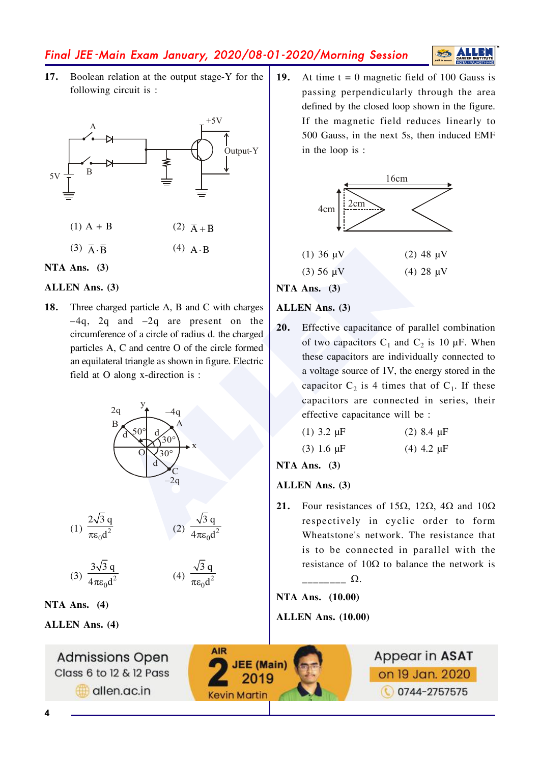# **ALLE**

 $17.$ Boolean relation at the output stage-Y for the following circuit is :





#### **ALLEN** Ans. (3)

18. Three charged particle A, B and C with charges  $-4q$ , 2q and  $-2q$  are present on the circumference of a circle of radius d. the charged particles A, C and centre O of the circle formed an equilateral triangle as shown in figure. Electric field at O along x-direction is :



$$
(1) \frac{2\sqrt{3} q}{\pi \epsilon_0 d^2} \qquad (2) \frac{\sqrt{3} q}{4\pi \epsilon_0 d}
$$

$$
(3) \frac{3\sqrt{3} q}{4\pi\varepsilon_0 d^2}
$$

$$
(4) \frac{\sqrt{3} q}{\pi \epsilon_0 d^2}
$$

NTA Ans.  $(4)$ 

**ALLEN Ans.** (4)

**Admissions Open** Class 6 to 12 & 12 Pass allen.ac.in

19. At time  $t = 0$  magnetic field of 100 Gauss is passing perpendicularly through the area defined by the closed loop shown in the figure. If the magnetic field reduces linearly to 500 Gauss, in the next 5s, then induced EMF in the loop is :



NTA Ans.  $(3)$ 

#### ALLEN Ans. (3)

20. Effective capacitance of parallel combination of two capacitors  $C_1$  and  $C_2$  is 10  $\mu$ F. When these capacitors are individually connected to a voltage source of 1V, the energy stored in the capacitor  $C_2$  is 4 times that of  $C_1$ . If these capacitors are connected in series, their effective capacitance will be :

| (1) $3.2 \mu F$ | $(2)$ 8.4 $\mu$ F |
|-----------------|-------------------|
| $(3)$ 1.6 uF    | $(4)$ 4.2 uF      |

NTA Ans.  $(3)$ 

#### **ALLEN Ans. (3)**

 $21.$ Four resistances of 15 $\Omega$ , 12 $\Omega$ , 4 $\Omega$  and 10 $\Omega$ respectively in cyclic order to form Wheatstone's network. The resistance that is to be connected in parallel with the resistance of  $10\Omega$  to balance the network is  $\Omega$ .

NTA Ans. (10.00)

### **ALLEN Ans.** (10.00)